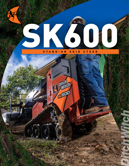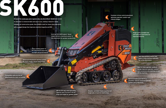**Advanced attachment latching system for more simple, secure connections.** 2

**Class-leading power to the attachment improves strength and performance.**

> **600-lb (272-kg) rated operating capacity and a 76-inch (1.93-m) hinge-pin height for greater power.**

**Two-way auxiliary control foot pedal to help maintain hydraulic for to the attachment.**

**24.8-hp (18.5 kW) Kubota® diesel engine delivers maximum power to the attachment for greater productivity.**  4

> **Smaller, narrower frame is perfect for tough jobs in hard-to-reach areas.**

**Optimized hydraulics deliver a smoother ride for enhanced operator comfort and productivity.**

**Single-point, lockable fuel and hydraulic fluid tanks for improved security.**



5K600

6

3

**Best-in-class operator platform design improves operator comfort and convenience for working on and off the machine.**

8

**Customer-driven control placement** 

**optimizes operator comfort and reduces fatigue.** 

5

11 11 12 13 14 15 16 17 17 18 19 19 10

7

**Designed for landscape and irrigation jobs, the Ditch Witch® SK600 mini standon skid steer is maneuverable and easy to use, making it ideal for rental. Compact yet construction grade, thee SK600 is built for heavy-duty operation, with a rugged design that improves machine longevity and ROI.**

RG10

**Compatible with an array of attachments for more versatility.** 1